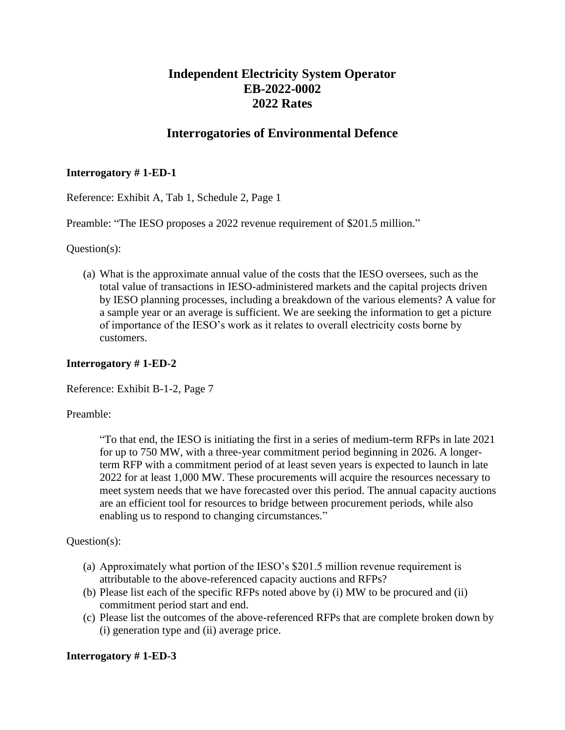# **Independent Electricity System Operator EB-2022-0002 2022 Rates**

# **Interrogatories of Environmental Defence**

### **Interrogatory # 1-ED-1**

Reference: Exhibit A, Tab 1, Schedule 2, Page 1

Preamble: "The IESO proposes a 2022 revenue requirement of \$201.5 million."

Question(s):

(a) What is the approximate annual value of the costs that the IESO oversees, such as the total value of transactions in IESO-administered markets and the capital projects driven by IESO planning processes, including a breakdown of the various elements? A value for a sample year or an average is sufficient. We are seeking the information to get a picture of importance of the IESO's work as it relates to overall electricity costs borne by customers.

### **Interrogatory # 1-ED-2**

Reference: Exhibit B-1-2, Page 7

#### Preamble:

"To that end, the IESO is initiating the first in a series of medium-term RFPs in late 2021 for up to 750 MW, with a three-year commitment period beginning in 2026. A longerterm RFP with a commitment period of at least seven years is expected to launch in late 2022 for at least 1,000 MW. These procurements will acquire the resources necessary to meet system needs that we have forecasted over this period. The annual capacity auctions are an efficient tool for resources to bridge between procurement periods, while also enabling us to respond to changing circumstances."

#### Question(s):

- (a) Approximately what portion of the IESO's \$201.5 million revenue requirement is attributable to the above-referenced capacity auctions and RFPs?
- (b) Please list each of the specific RFPs noted above by (i) MW to be procured and (ii) commitment period start and end.
- (c) Please list the outcomes of the above-referenced RFPs that are complete broken down by (i) generation type and (ii) average price.

#### **Interrogatory # 1-ED-3**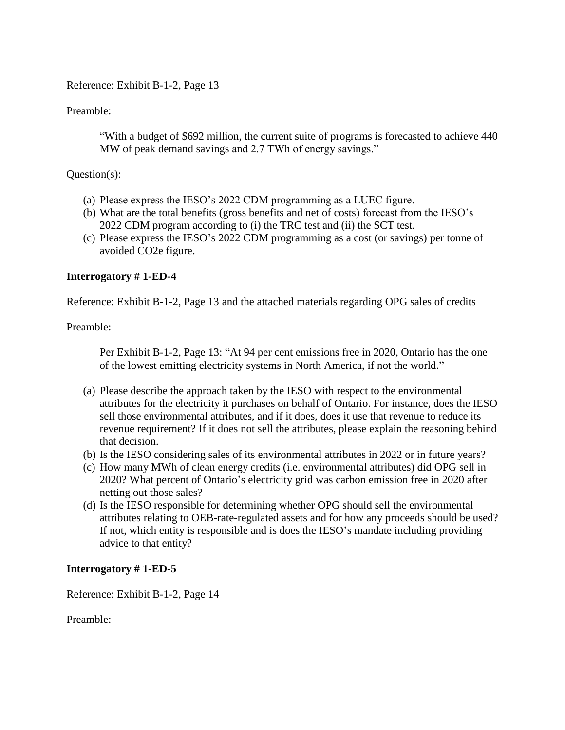Reference: Exhibit B-1-2, Page 13

Preamble:

"With a budget of \$692 million, the current suite of programs is forecasted to achieve 440 MW of peak demand savings and 2.7 TWh of energy savings."

#### Question(s):

- (a) Please express the IESO's 2022 CDM programming as a LUEC figure.
- (b) What are the total benefits (gross benefits and net of costs) forecast from the IESO's 2022 CDM program according to (i) the TRC test and (ii) the SCT test.
- (c) Please express the IESO's 2022 CDM programming as a cost (or savings) per tonne of avoided CO2e figure.

### **Interrogatory # 1-ED-4**

Reference: Exhibit B-1-2, Page 13 and the attached materials regarding OPG sales of credits

Preamble:

Per Exhibit B-1-2, Page 13: "At 94 per cent emissions free in 2020, Ontario has the one of the lowest emitting electricity systems in North America, if not the world."

- (a) Please describe the approach taken by the IESO with respect to the environmental attributes for the electricity it purchases on behalf of Ontario. For instance, does the IESO sell those environmental attributes, and if it does, does it use that revenue to reduce its revenue requirement? If it does not sell the attributes, please explain the reasoning behind that decision.
- (b) Is the IESO considering sales of its environmental attributes in 2022 or in future years?
- (c) How many MWh of clean energy credits (i.e. environmental attributes) did OPG sell in 2020? What percent of Ontario's electricity grid was carbon emission free in 2020 after netting out those sales?
- (d) Is the IESO responsible for determining whether OPG should sell the environmental attributes relating to OEB-rate-regulated assets and for how any proceeds should be used? If not, which entity is responsible and is does the IESO's mandate including providing advice to that entity?

#### **Interrogatory # 1-ED-5**

Reference: Exhibit B-1-2, Page 14

Preamble: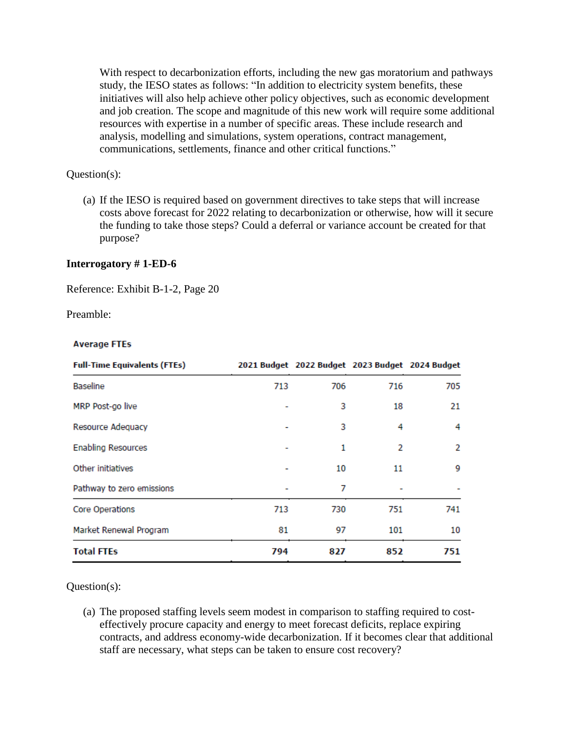With respect to decarbonization efforts, including the new gas moratorium and pathways study, the IESO states as follows: "In addition to electricity system benefits, these initiatives will also help achieve other policy objectives, such as economic development and job creation. The scope and magnitude of this new work will require some additional resources with expertise in a number of specific areas. These include research and analysis, modelling and simulations, system operations, contract management, communications, settlements, finance and other critical functions."

### Question(s):

(a) If the IESO is required based on government directives to take steps that will increase costs above forecast for 2022 relating to decarbonization or otherwise, how will it secure the funding to take those steps? Could a deferral or variance account be created for that purpose?

#### **Interrogatory # 1-ED-6**

Reference: Exhibit B-1-2, Page 20

Preamble:

#### **Average FTEs**

| <b>Full-Time Equivalents (FTEs)</b> |     | 2021 Budget 2022 Budget 2023 Budget 2024 Budget |                |     |
|-------------------------------------|-----|-------------------------------------------------|----------------|-----|
| <b>Baseline</b>                     | 713 | 706                                             | 716            | 705 |
| MRP Post-go live                    |     | 3                                               | 18             | 21  |
| Resource Adequacy                   |     | 3                                               | 4              | 4   |
| <b>Enabling Resources</b>           |     | 1                                               | $\overline{2}$ | 2   |
| Other initiatives                   |     | 10                                              | 11             | 9   |
| Pathway to zero emissions           |     | 7                                               |                |     |
| Core Operations                     | 713 | 730                                             | 751            | 741 |
| Market Renewal Program              | 81  | 97                                              | 101            | 10  |
| <b>Total FTEs</b>                   | 794 | 827                                             | 852            | 751 |

Question(s):

(a) The proposed staffing levels seem modest in comparison to staffing required to costeffectively procure capacity and energy to meet forecast deficits, replace expiring contracts, and address economy-wide decarbonization. If it becomes clear that additional staff are necessary, what steps can be taken to ensure cost recovery?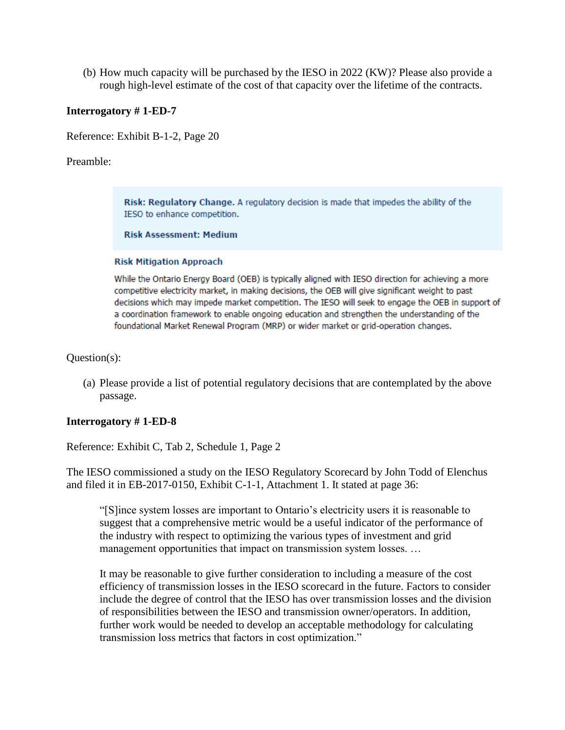(b) How much capacity will be purchased by the IESO in 2022 (KW)? Please also provide a rough high-level estimate of the cost of that capacity over the lifetime of the contracts.

#### **Interrogatory # 1-ED-7**

Reference: Exhibit B-1-2, Page 20

#### Preamble:

Risk: Regulatory Change. A regulatory decision is made that impedes the ability of the IESO to enhance competition.

#### **Risk Assessment: Medium**

#### **Risk Mitigation Approach**

While the Ontario Energy Board (OEB) is typically aligned with IESO direction for achieving a more competitive electricity market, in making decisions, the OEB will give significant weight to past decisions which may impede market competition. The IESO will seek to engage the OEB in support of a coordination framework to enable ongoing education and strengthen the understanding of the foundational Market Renewal Program (MRP) or wider market or grid-operation changes.

#### Question(s):

(a) Please provide a list of potential regulatory decisions that are contemplated by the above passage.

#### **Interrogatory # 1-ED-8**

Reference: Exhibit C, Tab 2, Schedule 1, Page 2

The IESO commissioned a study on the IESO Regulatory Scorecard by John Todd of Elenchus and filed it in EB-2017-0150, Exhibit C-1-1, Attachment 1. It stated at page 36:

"[S]ince system losses are important to Ontario's electricity users it is reasonable to suggest that a comprehensive metric would be a useful indicator of the performance of the industry with respect to optimizing the various types of investment and grid management opportunities that impact on transmission system losses. …

It may be reasonable to give further consideration to including a measure of the cost efficiency of transmission losses in the IESO scorecard in the future. Factors to consider include the degree of control that the IESO has over transmission losses and the division of responsibilities between the IESO and transmission owner/operators. In addition, further work would be needed to develop an acceptable methodology for calculating transmission loss metrics that factors in cost optimization."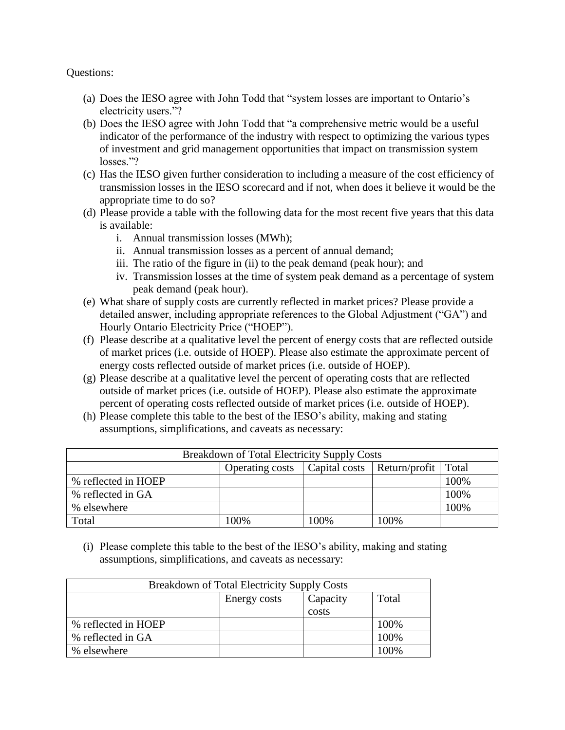Questions:

- (a) Does the IESO agree with John Todd that "system losses are important to Ontario's electricity users."?
- (b) Does the IESO agree with John Todd that "a comprehensive metric would be a useful indicator of the performance of the industry with respect to optimizing the various types of investment and grid management opportunities that impact on transmission system losses."?
- (c) Has the IESO given further consideration to including a measure of the cost efficiency of transmission losses in the IESO scorecard and if not, when does it believe it would be the appropriate time to do so?
- (d) Please provide a table with the following data for the most recent five years that this data is available:
	- i. Annual transmission losses (MWh);
	- ii. Annual transmission losses as a percent of annual demand;
	- iii. The ratio of the figure in (ii) to the peak demand (peak hour); and
	- iv. Transmission losses at the time of system peak demand as a percentage of system peak demand (peak hour).
- (e) What share of supply costs are currently reflected in market prices? Please provide a detailed answer, including appropriate references to the Global Adjustment ("GA") and Hourly Ontario Electricity Price ("HOEP").
- (f) Please describe at a qualitative level the percent of energy costs that are reflected outside of market prices (i.e. outside of HOEP). Please also estimate the approximate percent of energy costs reflected outside of market prices (i.e. outside of HOEP).
- (g) Please describe at a qualitative level the percent of operating costs that are reflected outside of market prices (i.e. outside of HOEP). Please also estimate the approximate percent of operating costs reflected outside of market prices (i.e. outside of HOEP).
- (h) Please complete this table to the best of the IESO's ability, making and stating assumptions, simplifications, and caveats as necessary:

| Breakdown of Total Electricity Supply Costs |                 |      |                                       |      |  |
|---------------------------------------------|-----------------|------|---------------------------------------|------|--|
|                                             | Operating costs |      | Capital costs   Return/profit   Total |      |  |
| % reflected in HOEP                         |                 |      |                                       | 100% |  |
| % reflected in GA                           |                 |      |                                       | 100% |  |
| % elsewhere                                 |                 |      |                                       | 100% |  |
| Total                                       | 100%            | 100% | 100%                                  |      |  |

(i) Please complete this table to the best of the IESO's ability, making and stating assumptions, simplifications, and caveats as necessary:

| Breakdown of Total Electricity Supply Costs |              |          |       |  |
|---------------------------------------------|--------------|----------|-------|--|
|                                             | Energy costs | Capacity | Total |  |
|                                             |              | costs    |       |  |
| % reflected in HOEP                         |              |          | 100%  |  |
| % reflected in GA                           |              |          | 100%  |  |
| % elsewhere                                 |              |          | 100%  |  |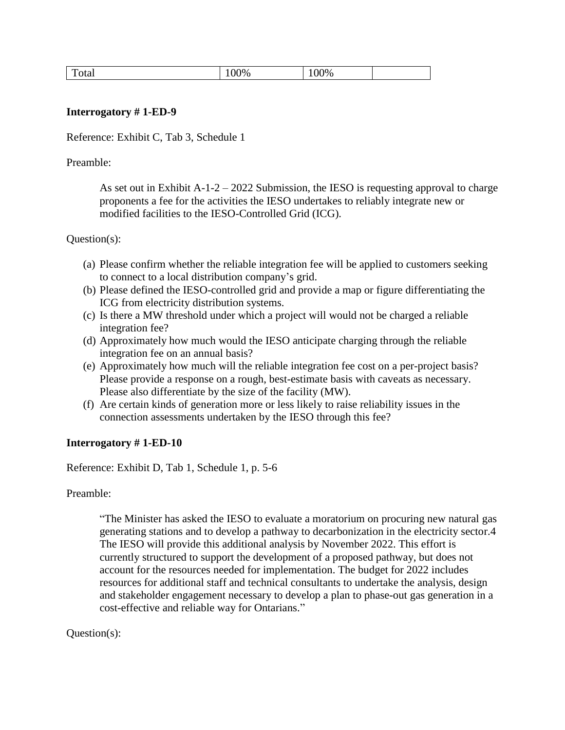| m<br>`otal<br>$\overline{\phantom{a}}$ | 100% | 00% |  |
|----------------------------------------|------|-----|--|
|----------------------------------------|------|-----|--|

#### **Interrogatory # 1-ED-9**

Reference: Exhibit C, Tab 3, Schedule 1

Preamble:

As set out in Exhibit  $A-1-2-2022$  Submission, the IESO is requesting approval to charge proponents a fee for the activities the IESO undertakes to reliably integrate new or modified facilities to the IESO-Controlled Grid (ICG).

#### Question(s):

- (a) Please confirm whether the reliable integration fee will be applied to customers seeking to connect to a local distribution company's grid.
- (b) Please defined the IESO-controlled grid and provide a map or figure differentiating the ICG from electricity distribution systems.
- (c) Is there a MW threshold under which a project will would not be charged a reliable integration fee?
- (d) Approximately how much would the IESO anticipate charging through the reliable integration fee on an annual basis?
- (e) Approximately how much will the reliable integration fee cost on a per-project basis? Please provide a response on a rough, best-estimate basis with caveats as necessary. Please also differentiate by the size of the facility (MW).
- (f) Are certain kinds of generation more or less likely to raise reliability issues in the connection assessments undertaken by the IESO through this fee?

#### **Interrogatory # 1-ED-10**

Reference: Exhibit D, Tab 1, Schedule 1, p. 5-6

Preamble:

"The Minister has asked the IESO to evaluate a moratorium on procuring new natural gas generating stations and to develop a pathway to decarbonization in the electricity sector.4 The IESO will provide this additional analysis by November 2022. This effort is currently structured to support the development of a proposed pathway, but does not account for the resources needed for implementation. The budget for 2022 includes resources for additional staff and technical consultants to undertake the analysis, design and stakeholder engagement necessary to develop a plan to phase-out gas generation in a cost-effective and reliable way for Ontarians."

#### Question(s):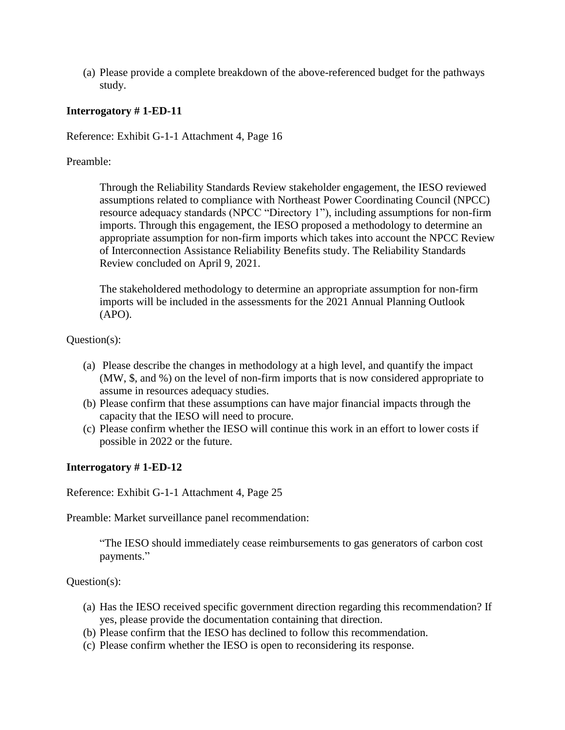(a) Please provide a complete breakdown of the above-referenced budget for the pathways study.

### **Interrogatory # 1-ED-11**

Reference: Exhibit G-1-1 Attachment 4, Page 16

Preamble:

Through the Reliability Standards Review stakeholder engagement, the IESO reviewed assumptions related to compliance with Northeast Power Coordinating Council (NPCC) resource adequacy standards (NPCC "Directory 1"), including assumptions for non-firm imports. Through this engagement, the IESO proposed a methodology to determine an appropriate assumption for non-firm imports which takes into account the NPCC Review of Interconnection Assistance Reliability Benefits study. The Reliability Standards Review concluded on April 9, 2021.

The stakeholdered methodology to determine an appropriate assumption for non-firm imports will be included in the assessments for the 2021 Annual Planning Outlook (APO).

Question(s):

- (a) Please describe the changes in methodology at a high level, and quantify the impact (MW, \$, and %) on the level of non-firm imports that is now considered appropriate to assume in resources adequacy studies.
- (b) Please confirm that these assumptions can have major financial impacts through the capacity that the IESO will need to procure.
- (c) Please confirm whether the IESO will continue this work in an effort to lower costs if possible in 2022 or the future.

#### **Interrogatory # 1-ED-12**

Reference: Exhibit G-1-1 Attachment 4, Page 25

Preamble: Market surveillance panel recommendation:

"The IESO should immediately cease reimbursements to gas generators of carbon cost payments."

Question(s):

- (a) Has the IESO received specific government direction regarding this recommendation? If yes, please provide the documentation containing that direction.
- (b) Please confirm that the IESO has declined to follow this recommendation.
- (c) Please confirm whether the IESO is open to reconsidering its response.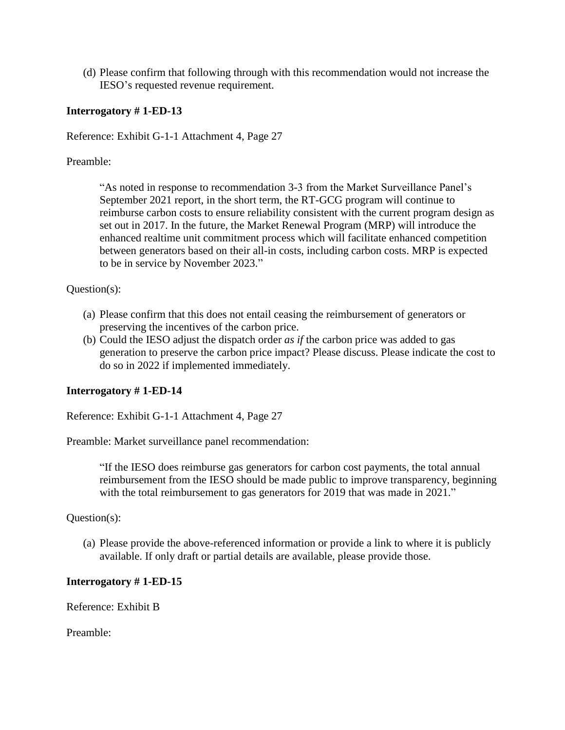(d) Please confirm that following through with this recommendation would not increase the IESO's requested revenue requirement.

#### **Interrogatory # 1-ED-13**

Reference: Exhibit G-1-1 Attachment 4, Page 27

Preamble:

"As noted in response to recommendation 3-3 from the Market Surveillance Panel's September 2021 report, in the short term, the RT-GCG program will continue to reimburse carbon costs to ensure reliability consistent with the current program design as set out in 2017. In the future, the Market Renewal Program (MRP) will introduce the enhanced realtime unit commitment process which will facilitate enhanced competition between generators based on their all-in costs, including carbon costs. MRP is expected to be in service by November 2023."

### Question(s):

- (a) Please confirm that this does not entail ceasing the reimbursement of generators or preserving the incentives of the carbon price.
- (b) Could the IESO adjust the dispatch order *as if* the carbon price was added to gas generation to preserve the carbon price impact? Please discuss. Please indicate the cost to do so in 2022 if implemented immediately.

### **Interrogatory # 1-ED-14**

Reference: Exhibit G-1-1 Attachment 4, Page 27

Preamble: Market surveillance panel recommendation:

"If the IESO does reimburse gas generators for carbon cost payments, the total annual reimbursement from the IESO should be made public to improve transparency, beginning with the total reimbursement to gas generators for 2019 that was made in 2021."

#### Question(s):

(a) Please provide the above-referenced information or provide a link to where it is publicly available. If only draft or partial details are available, please provide those.

#### **Interrogatory # 1-ED-15**

Reference: Exhibit B

Preamble: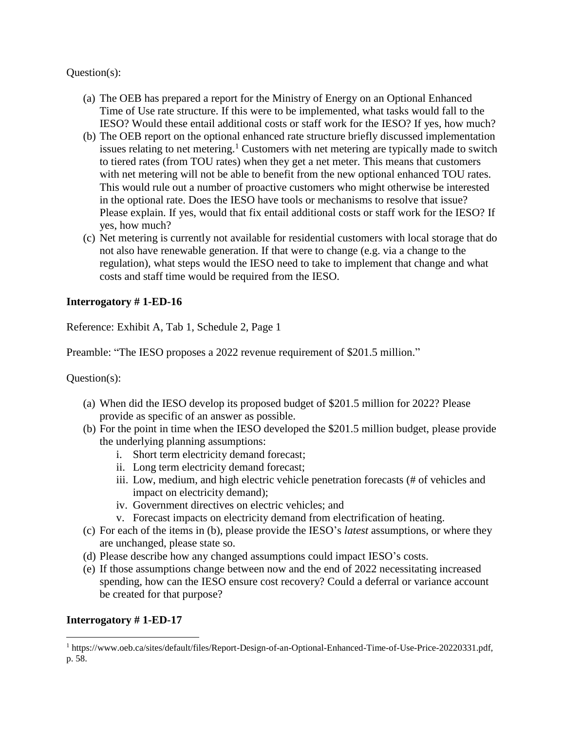Question(s):

- (a) The OEB has prepared a report for the Ministry of Energy on an Optional Enhanced Time of Use rate structure. If this were to be implemented, what tasks would fall to the IESO? Would these entail additional costs or staff work for the IESO? If yes, how much?
- (b) The OEB report on the optional enhanced rate structure briefly discussed implementation issues relating to net metering.<sup>1</sup> Customers with net metering are typically made to switch to tiered rates (from TOU rates) when they get a net meter. This means that customers with net metering will not be able to benefit from the new optional enhanced TOU rates. This would rule out a number of proactive customers who might otherwise be interested in the optional rate. Does the IESO have tools or mechanisms to resolve that issue? Please explain. If yes, would that fix entail additional costs or staff work for the IESO? If yes, how much?
- (c) Net metering is currently not available for residential customers with local storage that do not also have renewable generation. If that were to change (e.g. via a change to the regulation), what steps would the IESO need to take to implement that change and what costs and staff time would be required from the IESO.

### **Interrogatory # 1-ED-16**

Reference: Exhibit A, Tab 1, Schedule 2, Page 1

Preamble: "The IESO proposes a 2022 revenue requirement of \$201.5 million."

Question(s):

- (a) When did the IESO develop its proposed budget of \$201.5 million for 2022? Please provide as specific of an answer as possible.
- (b) For the point in time when the IESO developed the \$201.5 million budget, please provide the underlying planning assumptions:
	- i. Short term electricity demand forecast;
	- ii. Long term electricity demand forecast;
	- iii. Low, medium, and high electric vehicle penetration forecasts (# of vehicles and impact on electricity demand);
	- iv. Government directives on electric vehicles; and
	- v. Forecast impacts on electricity demand from electrification of heating.
- (c) For each of the items in (b), please provide the IESO's *latest* assumptions, or where they are unchanged, please state so.
- (d) Please describe how any changed assumptions could impact IESO's costs.
- (e) If those assumptions change between now and the end of 2022 necessitating increased spending, how can the IESO ensure cost recovery? Could a deferral or variance account be created for that purpose?

### **Interrogatory # 1-ED-17**

 $\overline{a}$ 

<sup>1</sup> https://www.oeb.ca/sites/default/files/Report-Design-of-an-Optional-Enhanced-Time-of-Use-Price-20220331.pdf, p. 58.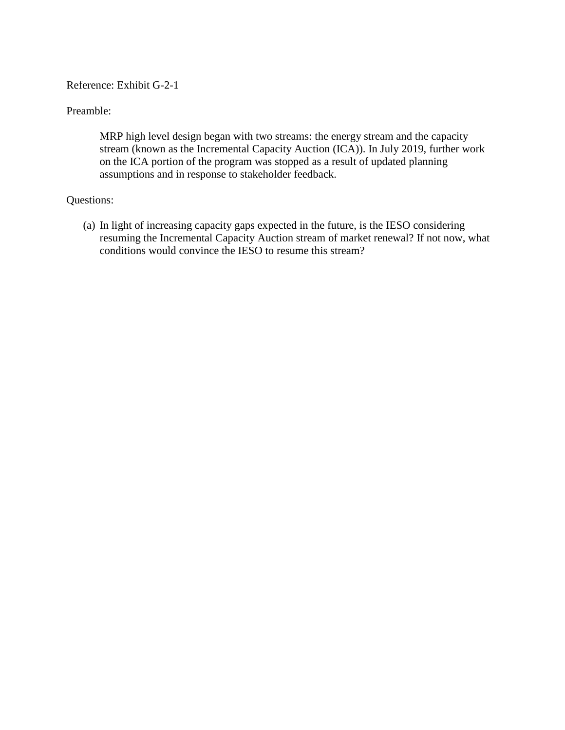#### Reference: Exhibit G-2-1

#### Preamble:

MRP high level design began with two streams: the energy stream and the capacity stream (known as the Incremental Capacity Auction (ICA)). In July 2019, further work on the ICA portion of the program was stopped as a result of updated planning assumptions and in response to stakeholder feedback.

#### Questions:

(a) In light of increasing capacity gaps expected in the future, is the IESO considering resuming the Incremental Capacity Auction stream of market renewal? If not now, what conditions would convince the IESO to resume this stream?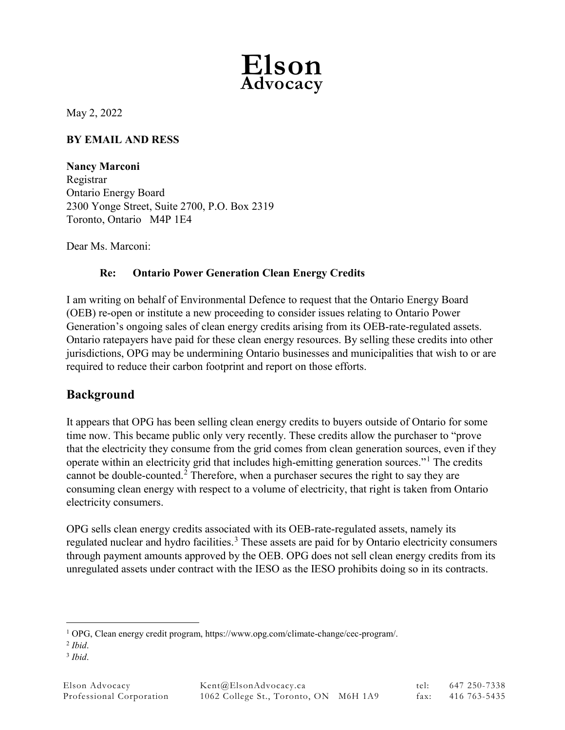

May 2, 2022

## **BY EMAIL AND RESS**

**Nancy Marconi** Registrar Ontario Energy Board 2300 Yonge Street, Suite 2700, P.O. Box 2319 Toronto, Ontario M4P 1E4

Dear Ms. Marconi:

### **Re: Ontario Power Generation Clean Energy Credits**

I am writing on behalf of Environmental Defence to request that the Ontario Energy Board (OEB) re-open or institute a new proceeding to consider issues relating to Ontario Power Generation's ongoing sales of clean energy credits arising from its OEB-rate-regulated assets. Ontario ratepayers have paid for these clean energy resources. By selling these credits into other jurisdictions, OPG may be undermining Ontario businesses and municipalities that wish to or are required to reduce their carbon footprint and report on those efforts.

# **Background**

It appears that OPG has been selling clean energy credits to buyers outside of Ontario for some time now. This became public only very recently. These credits allow the purchaser to "prove that the electricity they consume from the grid comes from clean generation sources, even if they operate within an electricity grid that includes high-emitting generation sources."[1](#page-10-0) The credits cannot be double-counted.<sup>[2](#page-10-1)</sup> Therefore, when a purchaser secures the right to say they are consuming clean energy with respect to a volume of electricity, that right is taken from Ontario electricity consumers.

OPG sells clean energy credits associated with its OEB-rate-regulated assets, namely its regulated nuclear and hydro facilities.<sup>[3](#page-10-2)</sup> These assets are paid for by Ontario electricity consumers through payment amounts approved by the OEB. OPG does not sell clean energy credits from its unregulated assets under contract with the IESO as the IESO prohibits doing so in its contracts.

<span id="page-10-0"></span> <sup>1</sup> OPG, Clean energy credit program, https://www.opg.com/climate-change/cec-program/.

<span id="page-10-1"></span><sup>2</sup> *Ibid*. 3 *Ibid*.

<span id="page-10-2"></span>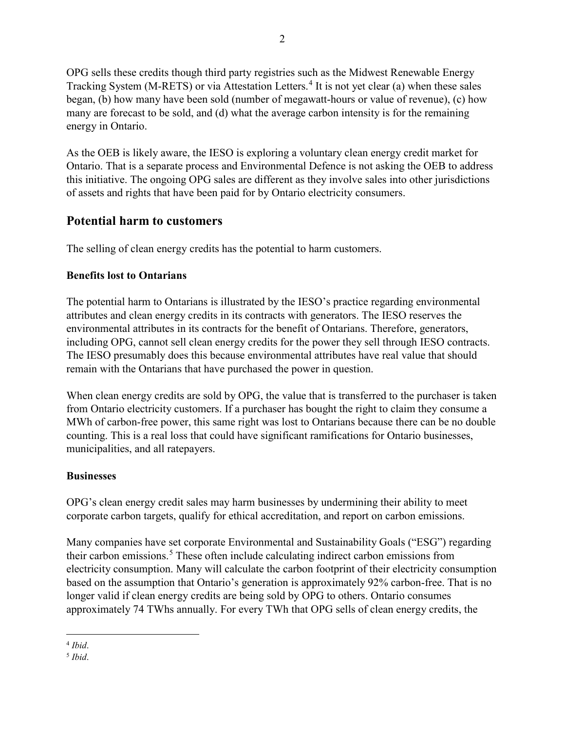OPG sells these credits though third party registries such as the Midwest Renewable Energy Tracking System (M-RETS) or via Attestation Letters.<sup>[4](#page-11-0)</sup> It is not yet clear (a) when these sales began, (b) how many have been sold (number of megawatt-hours or value of revenue), (c) how many are forecast to be sold, and (d) what the average carbon intensity is for the remaining energy in Ontario.

As the OEB is likely aware, the IESO is exploring a voluntary clean energy credit market for Ontario. That is a separate process and Environmental Defence is not asking the OEB to address this initiative. The ongoing OPG sales are different as they involve sales into other jurisdictions of assets and rights that have been paid for by Ontario electricity consumers.

# **Potential harm to customers**

The selling of clean energy credits has the potential to harm customers.

## **Benefits lost to Ontarians**

The potential harm to Ontarians is illustrated by the IESO's practice regarding environmental attributes and clean energy credits in its contracts with generators. The IESO reserves the environmental attributes in its contracts for the benefit of Ontarians. Therefore, generators, including OPG, cannot sell clean energy credits for the power they sell through IESO contracts. The IESO presumably does this because environmental attributes have real value that should remain with the Ontarians that have purchased the power in question.

When clean energy credits are sold by OPG, the value that is transferred to the purchaser is taken from Ontario electricity customers. If a purchaser has bought the right to claim they consume a MWh of carbon-free power, this same right was lost to Ontarians because there can be no double counting. This is a real loss that could have significant ramifications for Ontario businesses, municipalities, and all ratepayers.

### **Businesses**

OPG's clean energy credit sales may harm businesses by undermining their ability to meet corporate carbon targets, qualify for ethical accreditation, and report on carbon emissions.

Many companies have set corporate Environmental and Sustainability Goals ("ESG") regarding their carbon emissions.[5](#page-11-1) These often include calculating indirect carbon emissions from electricity consumption. Many will calculate the carbon footprint of their electricity consumption based on the assumption that Ontario's generation is approximately 92% carbon-free. That is no longer valid if clean energy credits are being sold by OPG to others. Ontario consumes approximately 74 TWhs annually. For every TWh that OPG sells of clean energy credits, the

<span id="page-11-0"></span> <sup>4</sup> *Ibid*. 5 *Ibid*.

<span id="page-11-1"></span>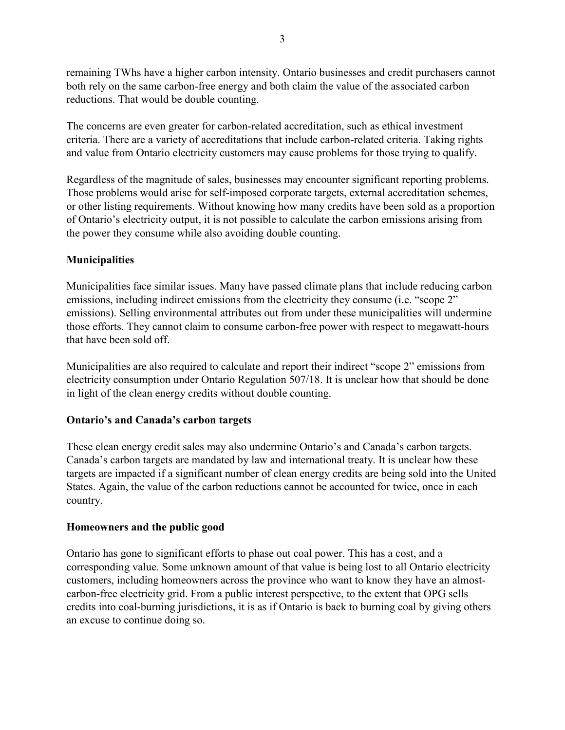remaining TWhs have a higher carbon intensity. Ontario businesses and credit purchasers cannot both rely on the same carbon-free energy and both claim the value of the associated carbon reductions. That would be double counting.

The concerns are even greater for carbon-related accreditation, such as ethical investment criteria. There are a variety of accreditations that include carbon-related criteria. Taking rights and value from Ontario electricity customers may cause problems for those trying to qualify.

Regardless of the magnitude of sales, businesses may encounter significant reporting problems. Those problems would arise for self-imposed corporate targets, external accreditation schemes, or other listing requirements. Without knowing how many credits have been sold as a proportion of Ontario's electricity output, it is not possible to calculate the carbon emissions arising from the power they consume while also avoiding double counting.

## **Municipalities**

Municipalities face similar issues. Many have passed climate plans that include reducing carbon emissions, including indirect emissions from the electricity they consume (i.e. "scope 2" emissions). Selling environmental attributes out from under these municipalities will undermine those efforts. They cannot claim to consume carbon-free power with respect to megawatt-hours that have been sold off.

Municipalities are also required to calculate and report their indirect "scope 2" emissions from electricity consumption under Ontario Regulation 507/18. It is unclear how that should be done in light of the clean energy credits without double counting.

### **Ontario's and Canada's carbon targets**

These clean energy credit sales may also undermine Ontario's and Canada's carbon targets. Canada's carbon targets are mandated by law and international treaty. It is unclear how these targets are impacted if a significant number of clean energy credits are being sold into the United States. Again, the value of the carbon reductions cannot be accounted for twice, once in each country.

### **Homeowners and the public good**

Ontario has gone to significant efforts to phase out coal power. This has a cost, and a corresponding value. Some unknown amount of that value is being lost to all Ontario electricity customers, including homeowners across the province who want to know they have an almostcarbon-free electricity grid. From a public interest perspective, to the extent that OPG sells credits into coal-burning jurisdictions, it is as if Ontario is back to burning coal by giving others an excuse to continue doing so.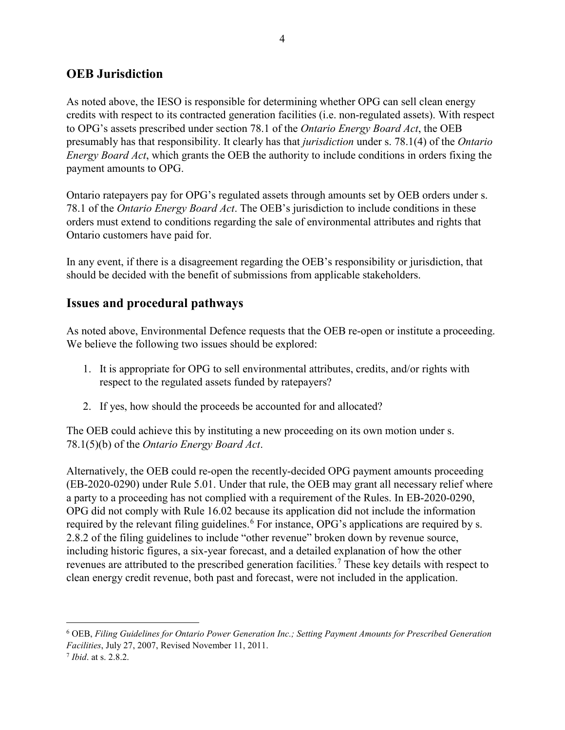## **OEB Jurisdiction**

As noted above, the IESO is responsible for determining whether OPG can sell clean energy credits with respect to its contracted generation facilities (i.e. non-regulated assets). With respect to OPG's assets prescribed under section 78.1 of the *Ontario Energy Board Act*, the OEB presumably has that responsibility. It clearly has that *jurisdiction* under s. 78.1(4) of the *Ontario Energy Board Act*, which grants the OEB the authority to include conditions in orders fixing the payment amounts to OPG.

Ontario ratepayers pay for OPG's regulated assets through amounts set by OEB orders under s. 78.1 of the *Ontario Energy Board Act*. The OEB's jurisdiction to include conditions in these orders must extend to conditions regarding the sale of environmental attributes and rights that Ontario customers have paid for.

In any event, if there is a disagreement regarding the OEB's responsibility or jurisdiction, that should be decided with the benefit of submissions from applicable stakeholders.

# **Issues and procedural pathways**

As noted above, Environmental Defence requests that the OEB re-open or institute a proceeding. We believe the following two issues should be explored:

- 1. It is appropriate for OPG to sell environmental attributes, credits, and/or rights with respect to the regulated assets funded by ratepayers?
- 2. If yes, how should the proceeds be accounted for and allocated?

The OEB could achieve this by instituting a new proceeding on its own motion under s. 78.1(5)(b) of the *Ontario Energy Board Act*.

Alternatively, the OEB could re-open the recently-decided OPG payment amounts proceeding (EB-2020-0290) under Rule 5.01. Under that rule, the OEB may grant all necessary relief where a party to a proceeding has not complied with a requirement of the Rules. In EB-2020-0290, OPG did not comply with Rule 16.02 because its application did not include the information required by the relevant filing guidelines.<sup>[6](#page-13-0)</sup> For instance, OPG's applications are required by s. 2.8.2 of the filing guidelines to include "other revenue" broken down by revenue source, including historic figures, a six-year forecast, and a detailed explanation of how the other revenues are attributed to the prescribed generation facilities.<sup>[7](#page-13-1)</sup> These key details with respect to clean energy credit revenue, both past and forecast, were not included in the application.

<span id="page-13-0"></span> <sup>6</sup> OEB, *Filing Guidelines for Ontario Power Generation Inc.; Setting Payment Amounts for Prescribed Generation Facilities*, July 27, 2007, Revised November 11, 2011.

<span id="page-13-1"></span><sup>7</sup> *Ibid*. at s. 2.8.2.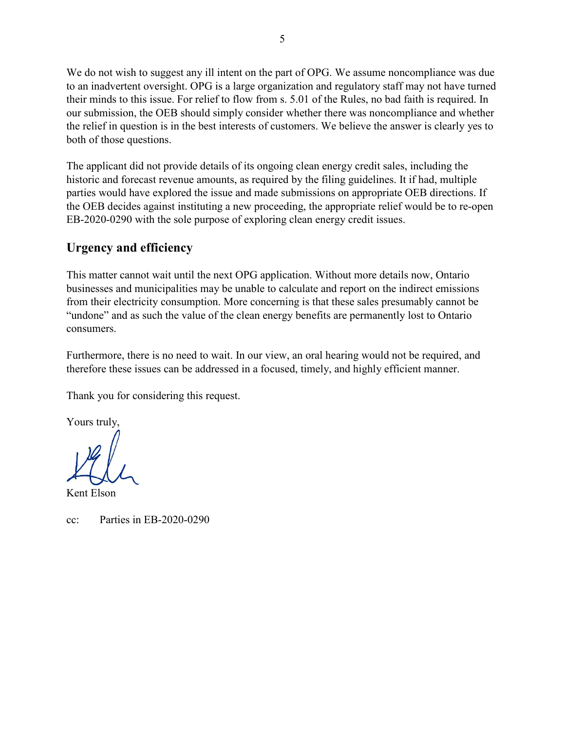We do not wish to suggest any ill intent on the part of OPG. We assume noncompliance was due to an inadvertent oversight. OPG is a large organization and regulatory staff may not have turned their minds to this issue. For relief to flow from s. 5.01 of the Rules, no bad faith is required. In our submission, the OEB should simply consider whether there was noncompliance and whether the relief in question is in the best interests of customers. We believe the answer is clearly yes to both of those questions.

The applicant did not provide details of its ongoing clean energy credit sales, including the historic and forecast revenue amounts, as required by the filing guidelines. It if had, multiple parties would have explored the issue and made submissions on appropriate OEB directions. If the OEB decides against instituting a new proceeding, the appropriate relief would be to re-open EB-2020-0290 with the sole purpose of exploring clean energy credit issues.

# **Urgency and efficiency**

This matter cannot wait until the next OPG application. Without more details now, Ontario businesses and municipalities may be unable to calculate and report on the indirect emissions from their electricity consumption. More concerning is that these sales presumably cannot be "undone" and as such the value of the clean energy benefits are permanently lost to Ontario consumers.

Furthermore, there is no need to wait. In our view, an oral hearing would not be required, and therefore these issues can be addressed in a focused, timely, and highly efficient manner.

Thank you for considering this request.

Yours truly,

Kent Elson

cc: Parties in EB-2020-0290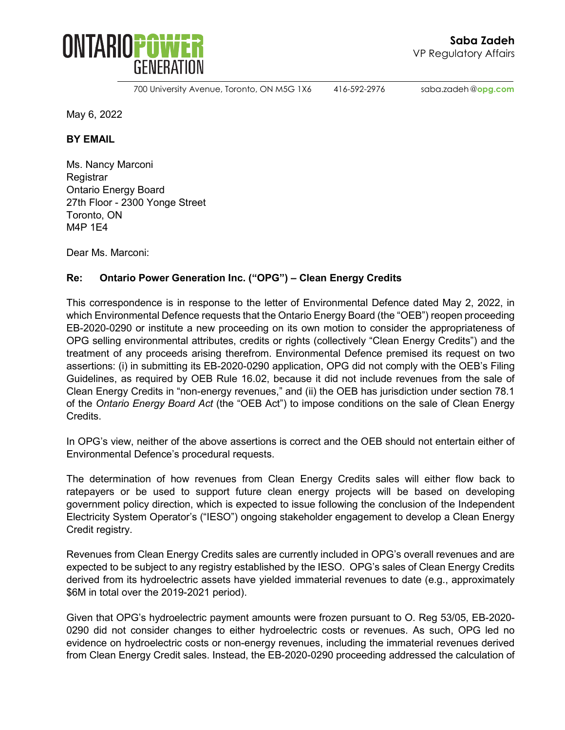

700 University Avenue, Toronto, ON M5G 1X6 416-592-2976 saba.zadeh @**opg.com**

May 6, 2022

**BY EMAIL**

Ms. Nancy Marconi **Registrar** Ontario Energy Board 27th Floor - 2300 Yonge Street Toronto, ON M4P 1E4

Dear Ms. Marconi:

### **Re: Ontario Power Generation Inc. ("OPG") – Clean Energy Credits**

This correspondence is in response to the letter of Environmental Defence dated May 2, 2022, in which Environmental Defence requests that the Ontario Energy Board (the "OEB") reopen proceeding EB-2020-0290 or institute a new proceeding on its own motion to consider the appropriateness of OPG selling environmental attributes, credits or rights (collectively "Clean Energy Credits") and the treatment of any proceeds arising therefrom. Environmental Defence premised its request on two assertions: (i) in submitting its EB-2020-0290 application, OPG did not comply with the OEB's Filing Guidelines, as required by OEB Rule 16.02, because it did not include revenues from the sale of Clean Energy Credits in "non-energy revenues," and (ii) the OEB has jurisdiction under section 78.1 of the *Ontario Energy Board Act* (the "OEB Act") to impose conditions on the sale of Clean Energy Credits.

In OPG's view, neither of the above assertions is correct and the OEB should not entertain either of Environmental Defence's procedural requests.

The determination of how revenues from Clean Energy Credits sales will either flow back to ratepayers or be used to support future clean energy projects will be based on developing government policy direction, which is expected to issue following the conclusion of the Independent Electricity System Operator's ("IESO") ongoing stakeholder engagement to develop a Clean Energy Credit registry.

Revenues from Clean Energy Credits sales are currently included in OPG's overall revenues and are expected to be subject to any registry established by the IESO. OPG's sales of Clean Energy Credits derived from its hydroelectric assets have yielded immaterial revenues to date (e.g., approximately \$6M in total over the 2019-2021 period).

Given that OPG's hydroelectric payment amounts were frozen pursuant to O. Reg 53/05, EB-2020- 0290 did not consider changes to either hydroelectric costs or revenues. As such, OPG led no evidence on hydroelectric costs or non-energy revenues, including the immaterial revenues derived from Clean Energy Credit sales. Instead, the EB-2020-0290 proceeding addressed the calculation of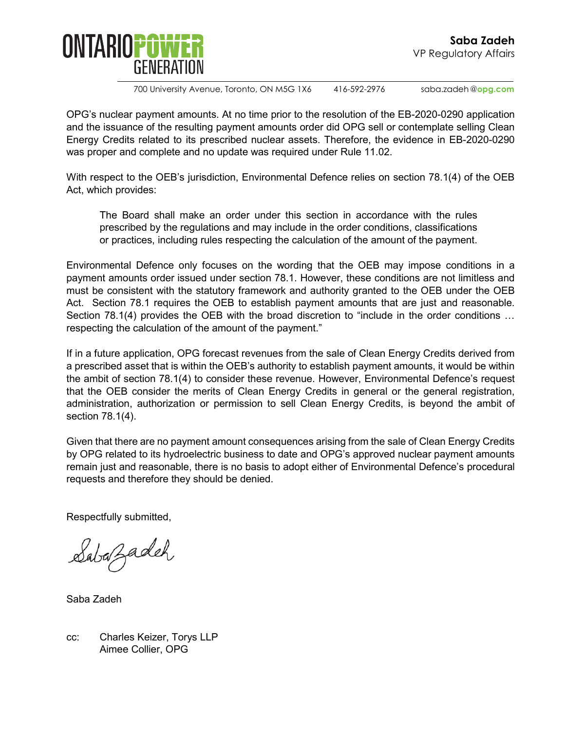

700 University Avenue, Toronto, ON M5G 1X6 416-592-2976 saba.zadeh @**opg.com**

OPG's nuclear payment amounts. At no time prior to the resolution of the EB-2020-0290 application and the issuance of the resulting payment amounts order did OPG sell or contemplate selling Clean Energy Credits related to its prescribed nuclear assets. Therefore, the evidence in EB-2020-0290 was proper and complete and no update was required under Rule 11.02.

With respect to the OEB's jurisdiction, Environmental Defence relies on section 78.1(4) of the OEB Act, which provides:

The Board shall make an order under this section in accordance with the rules prescribed by the regulations and may include in the order conditions, classifications or practices, including rules respecting the calculation of the amount of the payment.

Environmental Defence only focuses on the wording that the OEB may impose conditions in a payment amounts order issued under section 78.1. However, these conditions are not limitless and must be consistent with the statutory framework and authority granted to the OEB under the OEB Act. Section 78.1 requires the OEB to establish payment amounts that are just and reasonable. Section 78.1(4) provides the OEB with the broad discretion to "include in the order conditions … respecting the calculation of the amount of the payment."

If in a future application, OPG forecast revenues from the sale of Clean Energy Credits derived from a prescribed asset that is within the OEB's authority to establish payment amounts, it would be within the ambit of section 78.1(4) to consider these revenue. However, Environmental Defence's request that the OEB consider the merits of Clean Energy Credits in general or the general registration, administration, authorization or permission to sell Clean Energy Credits, is beyond the ambit of section 78.1(4).

Given that there are no payment amount consequences arising from the sale of Clean Energy Credits by OPG related to its hydroelectric business to date and OPG's approved nuclear payment amounts remain just and reasonable, there is no basis to adopt either of Environmental Defence's procedural requests and therefore they should be denied.

Respectfully submitted,

Sabazadeh

Saba Zadeh

cc: Charles Keizer, Torys LLP Aimee Collier, OPG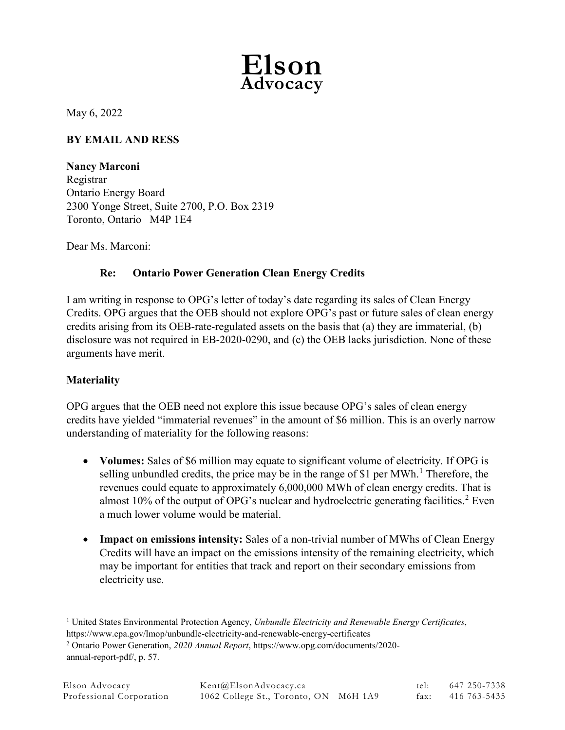

May 6, 2022

## **BY EMAIL AND RESS**

**Nancy Marconi** Registrar Ontario Energy Board 2300 Yonge Street, Suite 2700, P.O. Box 2319 Toronto, Ontario M4P 1E4

Dear Ms. Marconi:

### **Re: Ontario Power Generation Clean Energy Credits**

I am writing in response to OPG's letter of today's date regarding its sales of Clean Energy Credits. OPG argues that the OEB should not explore OPG's past or future sales of clean energy credits arising from its OEB-rate-regulated assets on the basis that (a) they are immaterial, (b) disclosure was not required in EB-2020-0290, and (c) the OEB lacks jurisdiction. None of these arguments have merit.

### **Materiality**

OPG argues that the OEB need not explore this issue because OPG's sales of clean energy credits have yielded "immaterial revenues" in the amount of \$6 million. This is an overly narrow understanding of materiality for the following reasons:

- **Volumes:** Sales of \$6 million may equate to significant volume of electricity. If OPG is selling unbundled credits, the price may be in the range of \$[1](#page-17-0) per  $MWh.$ <sup>1</sup> Therefore, the revenues could equate to approximately 6,000,000 MWh of clean energy credits. That is almost 10% of the output of OPG's nuclear and hydroelectric generating facilities. [2](#page-17-1) Even a much lower volume would be material.
- **Impact on emissions intensity:** Sales of a non-trivial number of MWhs of Clean Energy Credits will have an impact on the emissions intensity of the remaining electricity, which may be important for entities that track and report on their secondary emissions from electricity use.

<span id="page-17-0"></span> <sup>1</sup> United States Environmental Protection Agency, *Unbundle Electricity and Renewable Energy Certificates*, https://www.epa.gov/lmop/unbundle-electricity-and-renewable-energy-certificates

<span id="page-17-1"></span><sup>2</sup> Ontario Power Generation, *2020 Annual Report*, https://www.opg.com/documents/2020 annual-report-pdf/, p. 57.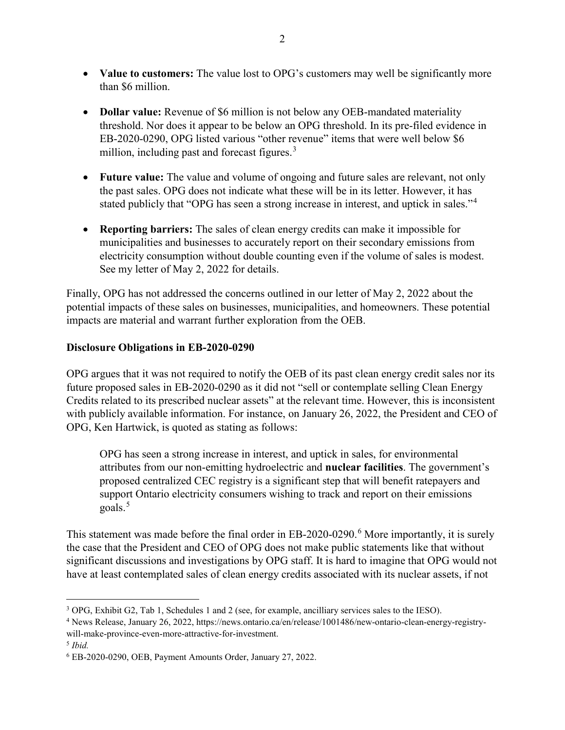- **Value to customers:** The value lost to OPG's customers may well be significantly more than \$6 million.
- **Dollar value:** Revenue of \$6 million is not below any OEB-mandated materiality threshold. Nor does it appear to be below an OPG threshold. In its pre-filed evidence in EB-2020-0290, OPG listed various "other revenue" items that were well below \$6 million, including past and forecast figures.<sup>[3](#page-18-0)</sup>
- **Future value:** The value and volume of ongoing and future sales are relevant, not only the past sales. OPG does not indicate what these will be in its letter. However, it has stated publicly that "OPG has seen a strong increase in interest, and uptick in sales."<sup>[4](#page-18-1)</sup>
- **Reporting barriers:** The sales of clean energy credits can make it impossible for municipalities and businesses to accurately report on their secondary emissions from electricity consumption without double counting even if the volume of sales is modest. See my letter of May 2, 2022 for details.

Finally, OPG has not addressed the concerns outlined in our letter of May 2, 2022 about the potential impacts of these sales on businesses, municipalities, and homeowners. These potential impacts are material and warrant further exploration from the OEB.

## **Disclosure Obligations in EB-2020-0290**

OPG argues that it was not required to notify the OEB of its past clean energy credit sales nor its future proposed sales in EB-2020-0290 as it did not "sell or contemplate selling Clean Energy Credits related to its prescribed nuclear assets" at the relevant time. However, this is inconsistent with publicly available information. For instance, on January 26, 2022, the President and CEO of OPG, Ken Hartwick, is quoted as stating as follows:

OPG has seen a strong increase in interest, and uptick in sales, for environmental attributes from our non-emitting hydroelectric and **nuclear facilities**. The government's proposed centralized CEC registry is a significant step that will benefit ratepayers and support Ontario electricity consumers wishing to track and report on their emissions goals.<sup>[5](#page-18-2)</sup>

This statement was made before the final order in EB-2020-0290.<sup>[6](#page-18-3)</sup> More importantly, it is surely the case that the President and CEO of OPG does not make public statements like that without significant discussions and investigations by OPG staff. It is hard to imagine that OPG would not have at least contemplated sales of clean energy credits associated with its nuclear assets, if not

<span id="page-18-0"></span> <sup>3</sup> OPG, Exhibit G2, Tab 1, Schedules 1 and 2 (see, for example, ancilliary services sales to the IESO).

<span id="page-18-1"></span><sup>4</sup> News Release, January 26, 2022, https://news.ontario.ca/en/release/1001486/new-ontario-clean-energy-registrywill-make-province-even-more-attractive-for-investment.

<span id="page-18-2"></span><sup>5</sup> *Ibid.*

<span id="page-18-3"></span><sup>6</sup> EB-2020-0290, OEB, Payment Amounts Order, January 27, 2022.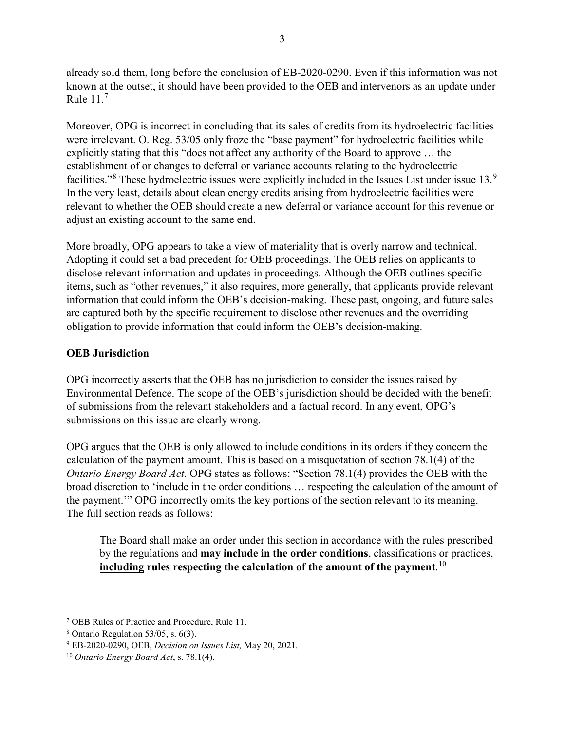already sold them, long before the conclusion of EB-2020-0290. Even if this information was not known at the outset, it should have been provided to the OEB and intervenors as an update under Rule  $11<sup>7</sup>$  $11<sup>7</sup>$  $11<sup>7</sup>$ 

Moreover, OPG is incorrect in concluding that its sales of credits from its hydroelectric facilities were irrelevant. O. Reg. 53/05 only froze the "base payment" for hydroelectric facilities while explicitly stating that this "does not affect any authority of the Board to approve … the establishment of or changes to deferral or variance accounts relating to the hydroelectric facilities."<sup>[8](#page-19-1)</sup> These hydroelectric issues were explicitly included in the Issues List under issue 13.<sup>[9](#page-19-2)</sup> In the very least, details about clean energy credits arising from hydroelectric facilities were relevant to whether the OEB should create a new deferral or variance account for this revenue or adjust an existing account to the same end.

More broadly, OPG appears to take a view of materiality that is overly narrow and technical. Adopting it could set a bad precedent for OEB proceedings. The OEB relies on applicants to disclose relevant information and updates in proceedings. Although the OEB outlines specific items, such as "other revenues," it also requires, more generally, that applicants provide relevant information that could inform the OEB's decision-making. These past, ongoing, and future sales are captured both by the specific requirement to disclose other revenues and the overriding obligation to provide information that could inform the OEB's decision-making.

## **OEB Jurisdiction**

OPG incorrectly asserts that the OEB has no jurisdiction to consider the issues raised by Environmental Defence. The scope of the OEB's jurisdiction should be decided with the benefit of submissions from the relevant stakeholders and a factual record. In any event, OPG's submissions on this issue are clearly wrong.

OPG argues that the OEB is only allowed to include conditions in its orders if they concern the calculation of the payment amount. This is based on a misquotation of section 78.1(4) of the *Ontario Energy Board Act*. OPG states as follows: "Section 78.1(4) provides the OEB with the broad discretion to 'include in the order conditions … respecting the calculation of the amount of the payment.'" OPG incorrectly omits the key portions of the section relevant to its meaning. The full section reads as follows:

The Board shall make an order under this section in accordance with the rules prescribed by the regulations and **may include in the order conditions**, classifications or practices, **including rules respecting the calculation of the amount of the payment**. [10](#page-19-3)

<span id="page-19-0"></span> <sup>7</sup> OEB Rules of Practice and Procedure, Rule 11.

<span id="page-19-1"></span> $8$  Ontario Regulation 53/05, s. 6(3).

<span id="page-19-2"></span><sup>9</sup> EB-2020-0290, OEB, *Decision on Issues List,* May 20, 2021.

<span id="page-19-3"></span><sup>10</sup> *Ontario Energy Board Act*, s. 78.1(4).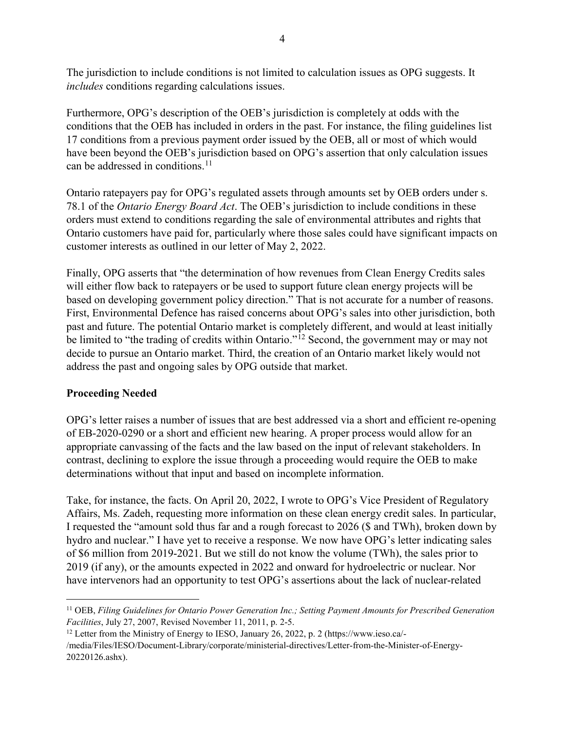The jurisdiction to include conditions is not limited to calculation issues as OPG suggests. It *includes* conditions regarding calculations issues.

Furthermore, OPG's description of the OEB's jurisdiction is completely at odds with the conditions that the OEB has included in orders in the past. For instance, the filing guidelines list 17 conditions from a previous payment order issued by the OEB, all or most of which would have been beyond the OEB's jurisdiction based on OPG's assertion that only calculation issues can be addressed in conditions. [11](#page-20-0)

Ontario ratepayers pay for OPG's regulated assets through amounts set by OEB orders under s. 78.1 of the *Ontario Energy Board Act*. The OEB's jurisdiction to include conditions in these orders must extend to conditions regarding the sale of environmental attributes and rights that Ontario customers have paid for, particularly where those sales could have significant impacts on customer interests as outlined in our letter of May 2, 2022.

Finally, OPG asserts that "the determination of how revenues from Clean Energy Credits sales will either flow back to ratepayers or be used to support future clean energy projects will be based on developing government policy direction." That is not accurate for a number of reasons. First, Environmental Defence has raised concerns about OPG's sales into other jurisdiction, both past and future. The potential Ontario market is completely different, and would at least initially be limited to "the trading of credits within Ontario."<sup>[12](#page-20-1)</sup> Second, the government may or may not decide to pursue an Ontario market. Third, the creation of an Ontario market likely would not address the past and ongoing sales by OPG outside that market.

## **Proceeding Needed**

OPG's letter raises a number of issues that are best addressed via a short and efficient re-opening of EB-2020-0290 or a short and efficient new hearing. A proper process would allow for an appropriate canvassing of the facts and the law based on the input of relevant stakeholders. In contrast, declining to explore the issue through a proceeding would require the OEB to make determinations without that input and based on incomplete information.

Take, for instance, the facts. On April 20, 2022, I wrote to OPG's Vice President of Regulatory Affairs, Ms. Zadeh, requesting more information on these clean energy credit sales. In particular, I requested the "amount sold thus far and a rough forecast to 2026 (\$ and TWh), broken down by hydro and nuclear." I have yet to receive a response. We now have OPG's letter indicating sales of \$6 million from 2019-2021. But we still do not know the volume (TWh), the sales prior to 2019 (if any), or the amounts expected in 2022 and onward for hydroelectric or nuclear. Nor have intervenors had an opportunity to test OPG's assertions about the lack of nuclear-related

<span id="page-20-0"></span> <sup>11</sup> OEB, *Filing Guidelines for Ontario Power Generation Inc.; Setting Payment Amounts for Prescribed Generation Facilities*, July 27, 2007, Revised November 11, 2011, p. 2-5.

<span id="page-20-1"></span><sup>&</sup>lt;sup>12</sup> Letter from the Ministry of Energy to IESO, January 26, 2022, p. 2 (https://www.ieso.ca/-

<sup>/</sup>media/Files/IESO/Document-Library/corporate/ministerial-directives/Letter-from-the-Minister-of-Energy-20220126.ashx).